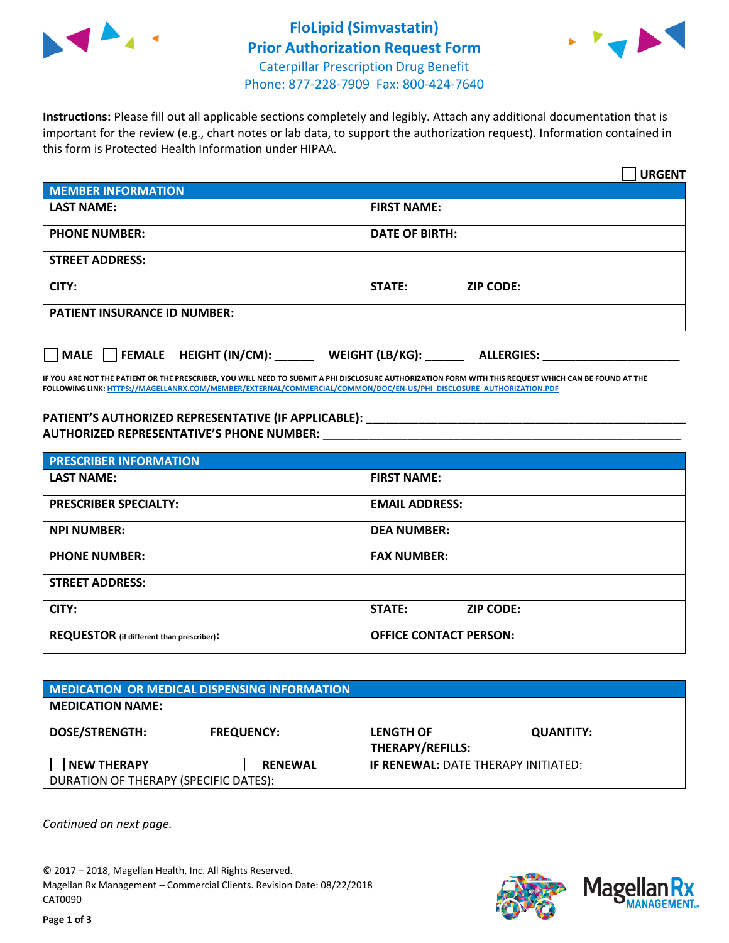



**Instructions:** Please fill out all applicable sections completely and legibly. Attach any additional documentation that is important for the review (e.g., chart notes or lab data, to support the authorization request). Information contained in this form is Protected Health Information under HIPAA.

|                                                | <b>URGENT</b>                        |  |  |  |
|------------------------------------------------|--------------------------------------|--|--|--|
| <b>MEMBER INFORMATION</b>                      |                                      |  |  |  |
| <b>LAST NAME:</b>                              | <b>FIRST NAME:</b>                   |  |  |  |
| <b>PHONE NUMBER:</b>                           | <b>DATE OF BIRTH:</b>                |  |  |  |
| <b>STREET ADDRESS:</b>                         |                                      |  |  |  |
| CITY:                                          | <b>STATE:</b><br><b>ZIP CODE:</b>    |  |  |  |
| <b>PATIENT INSURANCE ID NUMBER:</b>            |                                      |  |  |  |
| $\Box$ FEMALE HEIGHT (IN/CM): _<br><b>MALE</b> | WEIGHT (LB/KG):<br><b>ALLERGIES:</b> |  |  |  |

**IF YOU ARE NOT THE PATIENT OR THE PRESCRIBER, YOU WILL NEED TO SUBMIT A PHI DISCLOSURE AUTHORIZATION FORM WITH THIS REQUEST WHICH CAN BE FOUND AT THE FOLLOWING LINK[: HTTPS://MAGELLANRX.COM/MEMBER/EXTERNAL/COMMERCIAL/COMMON/DOC/EN-US/PHI\\_DISCLOSURE\\_AUTHORIZATION.PDF](https://magellanrx.com/member/external/commercial/common/doc/en-us/PHI_Disclosure_Authorization.pdf)**

**PATIENT'S AUTHORIZED REPRESENTATIVE (IF APPLICABLE): \_\_\_\_\_\_\_\_\_\_\_\_\_\_\_\_\_\_\_\_\_\_\_\_\_\_\_\_\_\_\_\_\_\_\_\_\_\_\_\_\_\_\_\_\_\_\_\_\_ AUTHORIZED REPRESENTATIVE'S PHONE NUMBER:** \_\_\_\_\_\_\_\_\_\_\_\_\_\_\_\_\_\_\_\_\_\_\_\_\_\_\_\_\_\_\_\_\_\_\_\_\_\_\_\_\_\_\_\_\_\_\_\_\_\_\_\_\_\_\_

| <b>PRESCRIBER INFORMATION</b>             |                               |  |  |  |
|-------------------------------------------|-------------------------------|--|--|--|
| <b>LAST NAME:</b>                         | <b>FIRST NAME:</b>            |  |  |  |
| <b>PRESCRIBER SPECIALTY:</b>              | <b>EMAIL ADDRESS:</b>         |  |  |  |
| <b>NPI NUMBER:</b>                        | <b>DEA NUMBER:</b>            |  |  |  |
| <b>PHONE NUMBER:</b>                      | <b>FAX NUMBER:</b>            |  |  |  |
| <b>STREET ADDRESS:</b>                    |                               |  |  |  |
| CITY:                                     | STATE:<br><b>ZIP CODE:</b>    |  |  |  |
| REQUESTOR (if different than prescriber): | <b>OFFICE CONTACT PERSON:</b> |  |  |  |

| <b>MEDICATION OR MEDICAL DISPENSING INFORMATION</b> |                   |                                            |                  |  |  |
|-----------------------------------------------------|-------------------|--------------------------------------------|------------------|--|--|
| <b>MEDICATION NAME:</b>                             |                   |                                            |                  |  |  |
| <b>DOSE/STRENGTH:</b>                               | <b>FREQUENCY:</b> | <b>LENGTH OF</b>                           | <b>QUANTITY:</b> |  |  |
|                                                     |                   | <b>THERAPY/REFILLS:</b>                    |                  |  |  |
| <b>NEW THERAPY</b>                                  | <b>RENEWAL</b>    | <b>IF RENEWAL: DATE THERAPY INITIATED:</b> |                  |  |  |
| DURATION OF THERAPY (SPECIFIC DATES):               |                   |                                            |                  |  |  |

*Continued on next page.*

© 2017 – 2018, Magellan Health, Inc. All Rights Reserved. Magellan Rx Management – Commercial Clients. Revision Date: 08/22/2018 CAT0090



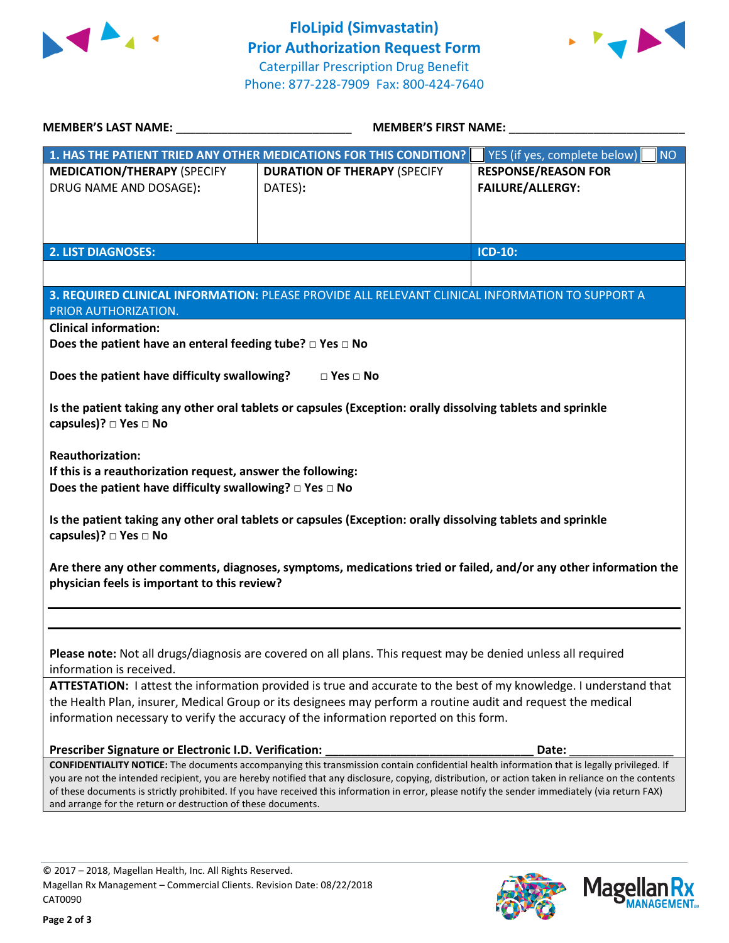



| <b>MEMBER'S LAST NAME:</b>                                                                                                                                                                                                                                                                                | <b>MEMBER'S FIRST NAME:</b>                                                                                                                                                                                       |                                           |  |  |  |
|-----------------------------------------------------------------------------------------------------------------------------------------------------------------------------------------------------------------------------------------------------------------------------------------------------------|-------------------------------------------------------------------------------------------------------------------------------------------------------------------------------------------------------------------|-------------------------------------------|--|--|--|
|                                                                                                                                                                                                                                                                                                           | 1. HAS THE PATIENT TRIED ANY OTHER MEDICATIONS FOR THIS CONDITION?                                                                                                                                                | YES (if yes, complete below)<br><b>NO</b> |  |  |  |
| <b>MEDICATION/THERAPY (SPECIFY</b>                                                                                                                                                                                                                                                                        | <b>DURATION OF THERAPY (SPECIFY</b>                                                                                                                                                                               | <b>RESPONSE/REASON FOR</b>                |  |  |  |
| DRUG NAME AND DOSAGE):                                                                                                                                                                                                                                                                                    | DATES):                                                                                                                                                                                                           | <b>FAILURE/ALLERGY:</b>                   |  |  |  |
|                                                                                                                                                                                                                                                                                                           |                                                                                                                                                                                                                   |                                           |  |  |  |
|                                                                                                                                                                                                                                                                                                           |                                                                                                                                                                                                                   |                                           |  |  |  |
| <b>2. LIST DIAGNOSES:</b>                                                                                                                                                                                                                                                                                 |                                                                                                                                                                                                                   | <b>ICD-10:</b>                            |  |  |  |
|                                                                                                                                                                                                                                                                                                           |                                                                                                                                                                                                                   |                                           |  |  |  |
|                                                                                                                                                                                                                                                                                                           | 3. REQUIRED CLINICAL INFORMATION: PLEASE PROVIDE ALL RELEVANT CLINICAL INFORMATION TO SUPPORT A                                                                                                                   |                                           |  |  |  |
| PRIOR AUTHORIZATION.                                                                                                                                                                                                                                                                                      |                                                                                                                                                                                                                   |                                           |  |  |  |
| <b>Clinical information:</b>                                                                                                                                                                                                                                                                              |                                                                                                                                                                                                                   |                                           |  |  |  |
| Does the patient have an enteral feeding tube? $\square$ Yes $\square$ No                                                                                                                                                                                                                                 |                                                                                                                                                                                                                   |                                           |  |  |  |
| Does the patient have difficulty swallowing?                                                                                                                                                                                                                                                              | $\square$ Yes $\square$ No                                                                                                                                                                                        |                                           |  |  |  |
|                                                                                                                                                                                                                                                                                                           |                                                                                                                                                                                                                   |                                           |  |  |  |
| capsules)? □ Yes □ No                                                                                                                                                                                                                                                                                     | Is the patient taking any other oral tablets or capsules (Exception: orally dissolving tablets and sprinkle                                                                                                       |                                           |  |  |  |
|                                                                                                                                                                                                                                                                                                           |                                                                                                                                                                                                                   |                                           |  |  |  |
| <b>Reauthorization:</b>                                                                                                                                                                                                                                                                                   |                                                                                                                                                                                                                   |                                           |  |  |  |
| If this is a reauthorization request, answer the following:                                                                                                                                                                                                                                               |                                                                                                                                                                                                                   |                                           |  |  |  |
| Does the patient have difficulty swallowing? $\square$ Yes $\square$ No                                                                                                                                                                                                                                   |                                                                                                                                                                                                                   |                                           |  |  |  |
|                                                                                                                                                                                                                                                                                                           | Is the patient taking any other oral tablets or capsules (Exception: orally dissolving tablets and sprinkle                                                                                                       |                                           |  |  |  |
| capsules)? □ Yes □ No                                                                                                                                                                                                                                                                                     |                                                                                                                                                                                                                   |                                           |  |  |  |
|                                                                                                                                                                                                                                                                                                           |                                                                                                                                                                                                                   |                                           |  |  |  |
| Are there any other comments, diagnoses, symptoms, medications tried or failed, and/or any other information the<br>physician feels is important to this review?                                                                                                                                          |                                                                                                                                                                                                                   |                                           |  |  |  |
|                                                                                                                                                                                                                                                                                                           |                                                                                                                                                                                                                   |                                           |  |  |  |
|                                                                                                                                                                                                                                                                                                           |                                                                                                                                                                                                                   |                                           |  |  |  |
|                                                                                                                                                                                                                                                                                                           |                                                                                                                                                                                                                   |                                           |  |  |  |
| Please note: Not all drugs/diagnosis are covered on all plans. This request may be denied unless all required                                                                                                                                                                                             |                                                                                                                                                                                                                   |                                           |  |  |  |
| information is received.                                                                                                                                                                                                                                                                                  |                                                                                                                                                                                                                   |                                           |  |  |  |
| ATTESTATION: I attest the information provided is true and accurate to the best of my knowledge. I understand that<br>the Health Plan, insurer, Medical Group or its designees may perform a routine audit and request the medical                                                                        |                                                                                                                                                                                                                   |                                           |  |  |  |
| information necessary to verify the accuracy of the information reported on this form.                                                                                                                                                                                                                    |                                                                                                                                                                                                                   |                                           |  |  |  |
|                                                                                                                                                                                                                                                                                                           |                                                                                                                                                                                                                   |                                           |  |  |  |
| Prescriber Signature or Electronic I.D. Verification:                                                                                                                                                                                                                                                     |                                                                                                                                                                                                                   | Date:                                     |  |  |  |
| <b>CONFIDENTIALITY NOTICE:</b> The documents accompanying this transmission contain confidential health information that is legally privileged. If<br>you are not the intended recipient, you are hereby notified that any disclosure, copying, distribution, or action taken in reliance on the contents |                                                                                                                                                                                                                   |                                           |  |  |  |
|                                                                                                                                                                                                                                                                                                           | of these documents is strictly prohibited. If you have received this information in error, please notify the sender immediately (via return FAX)<br>and arrange for the return or destruction of these documents. |                                           |  |  |  |
|                                                                                                                                                                                                                                                                                                           |                                                                                                                                                                                                                   |                                           |  |  |  |
|                                                                                                                                                                                                                                                                                                           |                                                                                                                                                                                                                   |                                           |  |  |  |

**Page 2 of 3**